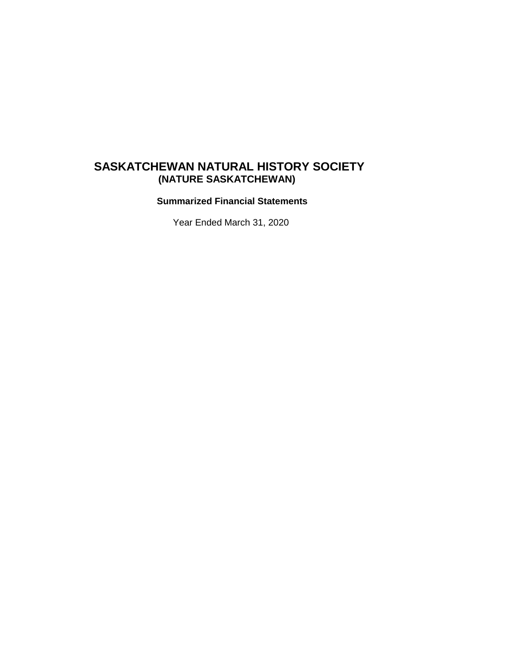# **(NATURE SASKATCHEWAN) SASKATCHEWAN NATURAL HISTORY SOCIETY**

 **Summarized Financial Statements**

Year Ended March 31, 2020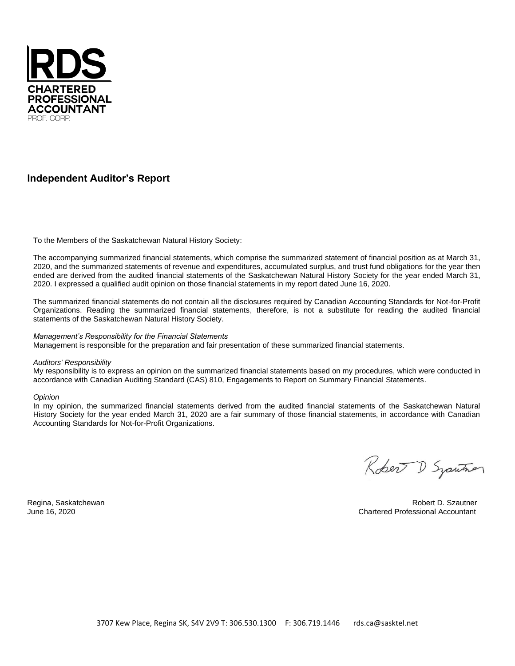

### **Independent Auditor's Report**

To the Members of the Saskatchewan Natural History Society:

The accompanying summarized financial statements, which comprise the summarized statement of financial position as at March 31, 2020, and the summarized statements of revenue and expenditures, accumulated surplus, and trust fund obligations for the year then ended are derived from the audited financial statements of the Saskatchewan Natural History Society for the year ended March 31, 2020. I expressed a qualified audit opinion on those financial statements in my report dated June 16, 2020.

The summarized financial statements do not contain all the disclosures required by Canadian Accounting Standards for Not-for-Profit Organizations. Reading the summarized financial statements, therefore, is not a substitute for reading the audited financial statements of the Saskatchewan Natural History Society.

### *Management's Responsibility for the Financial Statements*

Management is responsible for the preparation and fair presentation of these summarized financial statements.

#### *Auditors' Responsibility*

My responsibility is to express an opinion on the summarized financial statements based on my procedures, which were conducted in accordance with Canadian Auditing Standard (CAS) 810, Engagements to Report on Summary Financial Statements.

#### *Opinion*

In my opinion, the summarized financial statements derived from the audited financial statements of the Saskatchewan Natural History Society for the year ended March 31, 2020 are a fair summary of those financial statements, in accordance with Canadian Accounting Standards for Not-for-Profit Organizations.

Robert D Syauthor

Regina, Saskatchewan Robert D. Szautner June 16, 2020 Chartered Professional Accountant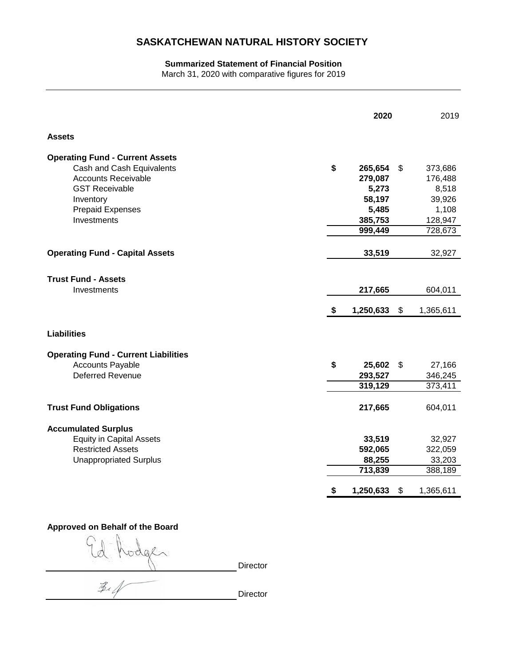## **SASKATCHEWAN NATURAL HISTORY SOCIETY**

### **Summarized Statement of Financial Position**

March 31, 2020 with comparative figures for 2019

| <b>Assets</b><br><b>Operating Fund - Current Assets</b><br>Cash and Cash Equivalents<br>\$<br>265,654<br>\$<br><b>Accounts Receivable</b><br>279,087<br>5,273<br><b>GST Receivable</b><br>58,197<br>Inventory<br>5,485<br><b>Prepaid Expenses</b><br>Investments<br>385,753<br>999,449<br><b>Operating Fund - Capital Assets</b><br>33,519<br><b>Trust Fund - Assets</b><br>Investments<br>217,665<br>1,250,633<br>\$<br>\$<br><b>Liabilities</b><br><b>Operating Fund - Current Liabilities</b><br><b>Accounts Payable</b><br>\$<br>25,602<br>\$<br><b>Deferred Revenue</b><br>293,527<br>319,129<br><b>Trust Fund Obligations</b><br>217,665<br><b>Accumulated Surplus</b><br><b>Equity in Capital Assets</b><br>33,519<br><b>Restricted Assets</b><br>592,065<br><b>Unappropriated Surplus</b><br>88,255<br>713,839 |  | 2020 | 2019 |                                                                      |
|------------------------------------------------------------------------------------------------------------------------------------------------------------------------------------------------------------------------------------------------------------------------------------------------------------------------------------------------------------------------------------------------------------------------------------------------------------------------------------------------------------------------------------------------------------------------------------------------------------------------------------------------------------------------------------------------------------------------------------------------------------------------------------------------------------------------|--|------|------|----------------------------------------------------------------------|
|                                                                                                                                                                                                                                                                                                                                                                                                                                                                                                                                                                                                                                                                                                                                                                                                                        |  |      |      |                                                                      |
|                                                                                                                                                                                                                                                                                                                                                                                                                                                                                                                                                                                                                                                                                                                                                                                                                        |  |      |      | 373,686<br>176,488<br>8,518<br>39,926<br>1,108<br>128,947<br>728,673 |
|                                                                                                                                                                                                                                                                                                                                                                                                                                                                                                                                                                                                                                                                                                                                                                                                                        |  |      |      | 32,927                                                               |
|                                                                                                                                                                                                                                                                                                                                                                                                                                                                                                                                                                                                                                                                                                                                                                                                                        |  |      |      | 604,011<br>1,365,611                                                 |
|                                                                                                                                                                                                                                                                                                                                                                                                                                                                                                                                                                                                                                                                                                                                                                                                                        |  |      |      |                                                                      |
|                                                                                                                                                                                                                                                                                                                                                                                                                                                                                                                                                                                                                                                                                                                                                                                                                        |  |      |      | 27,166<br>346,245<br>373,411                                         |
|                                                                                                                                                                                                                                                                                                                                                                                                                                                                                                                                                                                                                                                                                                                                                                                                                        |  |      |      | 604,011                                                              |
| 1,250,633<br>$\frac{1}{2}$<br>\$                                                                                                                                                                                                                                                                                                                                                                                                                                                                                                                                                                                                                                                                                                                                                                                       |  |      |      | 32,927<br>322,059<br>33,203<br>388,189<br>1,365,611                  |

## **Approved on Behalf of the Board**

vodge **Director**  $\mathcal{Z}_4$ 

Director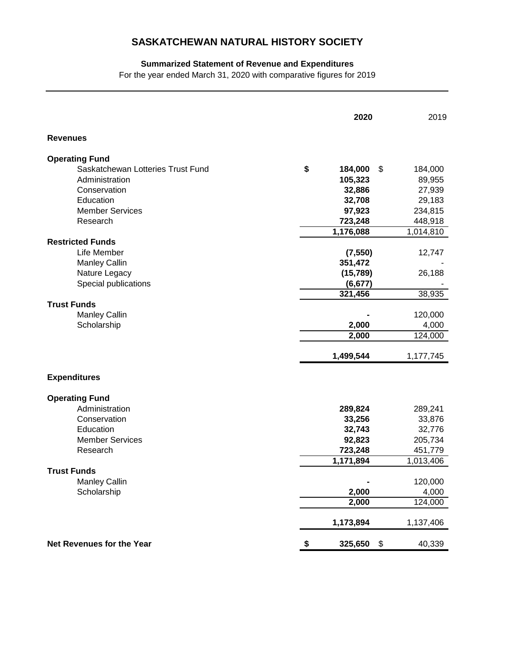## **SASKATCHEWAN NATURAL HISTORY SOCIETY**

## **Summarized Statement of Revenue and Expenditures**

For the year ended March 31, 2020 with comparative figures for 2019

|                                   | 2020          | 2019          |
|-----------------------------------|---------------|---------------|
| <b>Revenues</b>                   |               |               |
| <b>Operating Fund</b>             |               |               |
| Saskatchewan Lotteries Trust Fund | \$<br>184,000 | \$<br>184,000 |
| Administration                    | 105,323       | 89,955        |
| Conservation                      | 32,886        | 27,939        |
| Education                         | 32,708        | 29,183        |
| <b>Member Services</b>            | 97,923        | 234,815       |
| Research                          | 723,248       | 448,918       |
|                                   | 1,176,088     | 1,014,810     |
| <b>Restricted Funds</b>           |               |               |
| Life Member                       | (7, 550)      | 12,747        |
| <b>Manley Callin</b>              | 351,472       |               |
| Nature Legacy                     | (15, 789)     | 26,188        |
| Special publications              | (6, 677)      |               |
|                                   | 321,456       | 38,935        |
| <b>Trust Funds</b>                |               |               |
| Manley Callin                     |               | 120,000       |
| Scholarship                       | 2,000         | 4,000         |
|                                   | 2,000         | 124,000       |
|                                   | 1,499,544     | 1,177,745     |
| <b>Expenditures</b>               |               |               |
| <b>Operating Fund</b>             |               |               |
| Administration                    | 289,824       | 289,241       |
| Conservation                      | 33,256        | 33,876        |
| Education                         | 32,743        | 32,776        |
| <b>Member Services</b>            | 92,823        | 205,734       |
| Research                          | 723,248       | 451,779       |
|                                   | 1,171,894     | 1,013,406     |
| <b>Trust Funds</b>                |               |               |
| Manley Callin                     |               | 120,000       |
| Scholarship                       | 2,000         | 4,000         |
|                                   | 2,000         | 124,000       |
|                                   | 1,173,894     | 1,137,406     |
| Net Revenues for the Year         | 325,650<br>\$ | \$<br>40,339  |